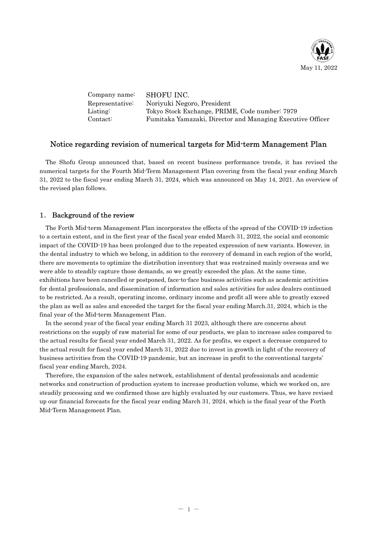

| Company name:   | SHOFU INC.                                                 |
|-----------------|------------------------------------------------------------|
| Representative: | Noriyuki Negoro, President                                 |
| Listing:        | Tokyo Stock Exchange, PRIME, Code number: 7979             |
| Contact:        | Fumitaka Yamazaki, Director and Managing Executive Officer |

## Notice regarding revision of numerical targets for Mid-term Management Plan

The Shofu Group announced that, based on recent business performance trends, it has revised the numerical targets for the Fourth Mid-Term Management Plan covering from the fiscal year ending March 31, 2022 to the fiscal year ending March 31, 2024, which was announced on May 14, 2021. An overview of the revised plan follows.

## 1. Background of the review

The Forth Mid-term Management Plan incorporates the effects of the spread of the COVID-19 infection to a certain extent, and in the first year of the fiscal year ended March 31, 2022, the social and economic impact of the COVID-19 has been prolonged due to the repeated expression of new variants. However, in the dental industry to which we belong, in addition to the recovery of demand in each region of the world, there are movements to optimize the distribution inventory that was restrained mainly overseas and we were able to steadily capture those demands, so we greatly exceeded the plan. At the same time, exhibitions have been cancelled or postponed, face-to-face business activities such as academic activities for dental professionals, and dissemination of information and sales activities for sales dealers continued to be restricted. As a result, operating income, ordinary income and profit all were able to greatly exceed the plan as well as sales and exceeded the target for the fiscal year ending March.31, 2024, which is the final year of the Mid-term Management Plan.

In the second year of the fiscal year ending March 31 2023, although there are concerns about restrictions on the supply of raw material for some of our products, we plan to increase sales compared to the actual results for fiscal year ended March 31, 2022. As for profits, we expect a decrease compared to the actual result for fiscal year ended March 31, 2022 due to invest in growth in light of the recovery of business activities from the COVID-19 pandemic, but an increase in profit to the conventional targets' fiscal year ending March, 2024.

Therefore, the expansion of the sales network, establishment of dental professionals and academic networks and construction of production system to increase production volume, which we worked on, are steadily processing and we confirmed those are highly evaluated by our customers. Thus, we have revised up our financial forecasts for the fiscal year ending March 31, 2024, which is the final year of the Forth Mid-Term Management Plan.